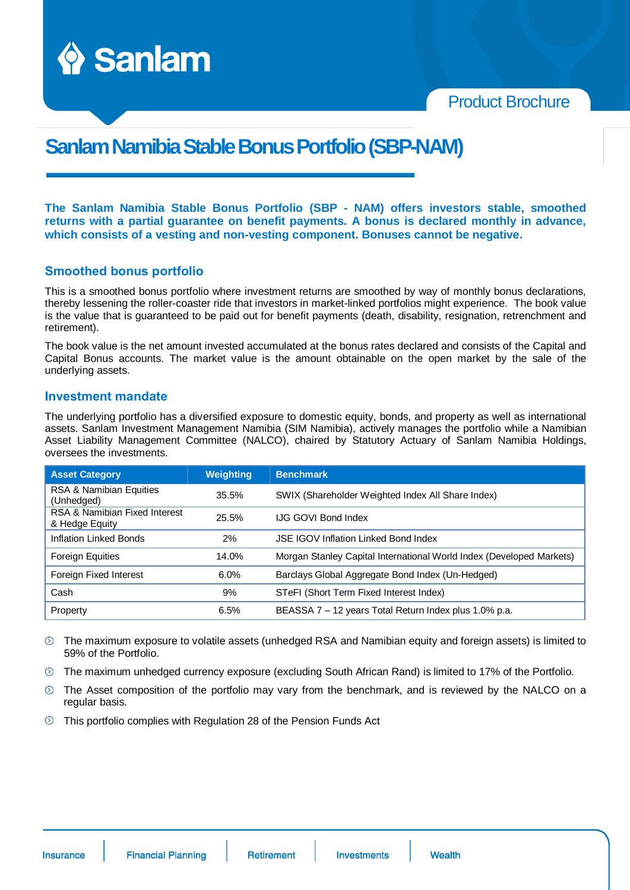

Product Brochure

# **Sanlam Namibia Stable Bonus Portfolio(SBP-NAM)**

**The Sanlam Namibia Stable Bonus Portfolio (SBP - NAM) offers investors stable, smoothed returns with a partial guarantee on benefit payments. A bonus is declared monthly in advance, which consists of a vesting and non-vesting component. Bonuses cannot be negative.**

#### **Smoothed bonus portfolio**

This is a smoothed bonus portfolio where investment returns are smoothed by way of monthly bonus declarations, thereby lessening the roller-coaster ride that investors in market-linked portfolios might experience. The book value is the value that is guaranteed to be paid out for benefit payments (death, disability, resignation, retrenchment and retirement).

The book value is the net amount invested accumulated at the bonus rates declared and consists of the Capital and Capital Bonus accounts. The market value is the amount obtainable on the open market by the sale of the underlying assets.

#### **Investment mandate**

The underlying portfolio has a diversified exposure to domestic equity, bonds, and property as well as international assets. Sanlam Investment Management Namibia (SIM Namibia), actively manages the portfolio while a Namibian Asset Liability Management Committee (NALCO), chaired by Statutory Actuary of Sanlam Namibia Holdings, oversees the investments.

| <b>Asset Category</b>                           | <b>Weighting</b> | <b>Benchmark</b>                                                     |
|-------------------------------------------------|------------------|----------------------------------------------------------------------|
| RSA & Namibian Equities<br>(Unhedged)           | 35.5%            | SWIX (Shareholder Weighted Index All Share Index)                    |
| RSA & Namibian Fixed Interest<br>& Hedge Equity | 25.5%            | <b>IJG GOVI Bond Index</b>                                           |
| Inflation Linked Bonds                          | 2%               | <b>JSE IGOV Inflation Linked Bond Index</b>                          |
| <b>Foreign Equities</b>                         | 14.0%            | Morgan Stanley Capital International World Index (Developed Markets) |
| Foreign Fixed Interest                          | 6.0%             | Barclays Global Aggregate Bond Index (Un-Hedged)                     |
| Cash                                            | 9%               | STeFI (Short Term Fixed Interest Index)                              |
| Property                                        | 6.5%             | BEASSA 7 - 12 years Total Return Index plus 1.0% p.a.                |

The maximum exposure to volatile assets (unhedged RSA and Namibian equity and foreign assets) is limited to 59% of the Portfolio.

- $\circledcirc$  The maximum unhedged currency exposure (excluding South African Rand) is limited to 17% of the Portfolio.
- $\odot$  The Asset composition of the portfolio may vary from the benchmark, and is reviewed by the NALCO on a regular basis.
- $\odot$ This portfolio complies with Regulation 28 of the Pension Funds Act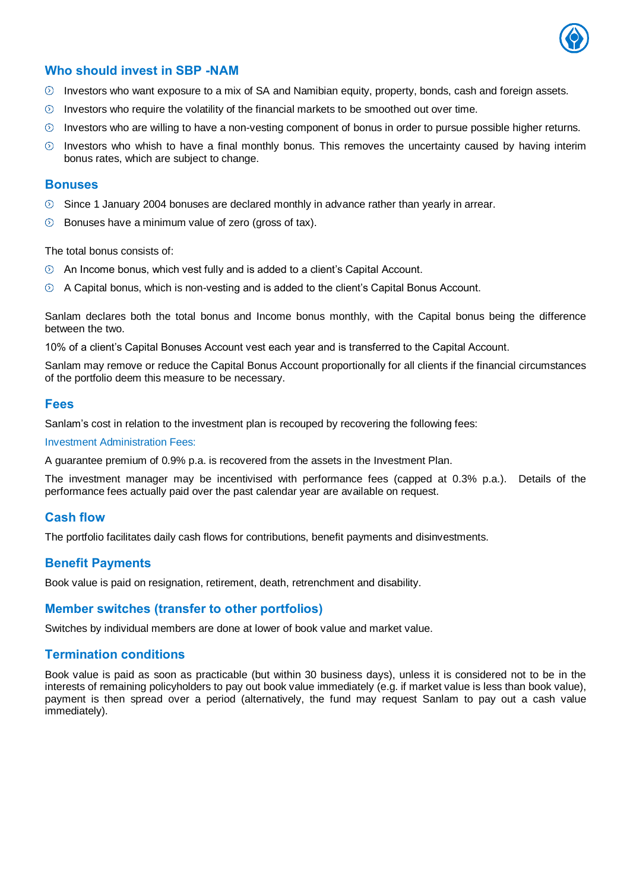

## **Who should invest in SBP -NAM**

- $\odot$  Investors who want exposure to a mix of SA and Namibian equity, property, bonds, cash and foreign assets.
- $\odot$  Investors who require the volatility of the financial markets to be smoothed out over time.
- $\odot$  Investors who are willing to have a non-vesting component of bonus in order to pursue possible higher returns.
- $\circledcirc$  Investors who whish to have a final monthly bonus. This removes the uncertainty caused by having interim bonus rates, which are subject to change.

#### **Bonuses**

- $\circledcirc$  Since 1 January 2004 bonuses are declared monthly in advance rather than yearly in arrear.
- Bonuses have a minimum value of zero (gross of tax).  $\odot$

The total bonus consists of:

- $\odot$  An Income bonus, which vest fully and is added to a client's Capital Account.
- A Capital bonus, which is non-vesting and is added to the client's Capital Bonus Account.

Sanlam declares both the total bonus and Income bonus monthly, with the Capital bonus being the difference between the two.

10% of a client's Capital Bonuses Account vest each year and is transferred to the Capital Account.

Sanlam may remove or reduce the Capital Bonus Account proportionally for all clients if the financial circumstances of the portfolio deem this measure to be necessary.

#### **Fees**

Sanlam's cost in relation to the investment plan is recouped by recovering the following fees:

Investment Administration Fees:

A guarantee premium of 0.9% p.a. is recovered from the assets in the Investment Plan.

The investment manager may be incentivised with performance fees (capped at 0.3% p.a.). Details of the performance fees actually paid over the past calendar year are available on request.

## **Cash flow**

The portfolio facilitates daily cash flows for contributions, benefit payments and disinvestments.

## **Benefit Payments**

Book value is paid on resignation, retirement, death, retrenchment and disability.

## **Member switches (transfer to other portfolios)**

Switches by individual members are done at lower of book value and market value.

## **Termination conditions**

Book value is paid as soon as practicable (but within 30 business days), unless it is considered not to be in the interests of remaining policyholders to pay out book value immediately (e.g. if market value is less than book value), payment is then spread over a period (alternatively, the fund may request Sanlam to pay out a cash value immediately).